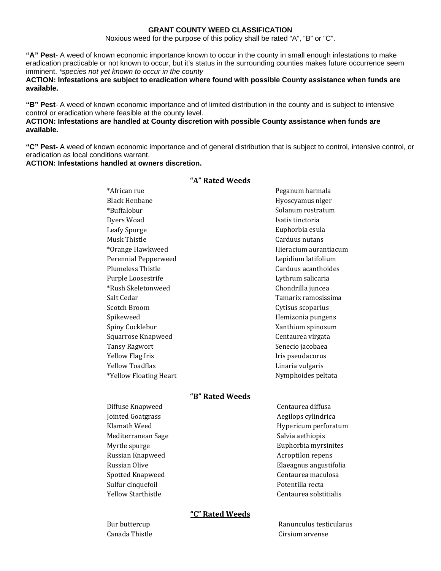#### **GRANT COUNTY WEED CLASSIFICATION**

Noxious weed for the purpose of this policy shall be rated "A", "B" or "C".

**"A" Pest**- A weed of known economic importance known to occur in the county in small enough infestations to make eradication practicable or not known to occur, but it's status in the surrounding counties makes future occurrence seem imminent. *\*species not yet known to occur in the county* 

**ACTION: Infestations are subject to eradication where found with possible County assistance when funds are available.** 

**"B" Pest**- A weed of known economic importance and of limited distribution in the county and is subject to intensive control or eradication where feasible at the county level.

### **ACTION: Infestations are handled at County discretion with possible County assistance when funds are available.**

**"C" Pest-** A weed of known economic importance and of general distribution that is subject to control, intensive control, or eradication as local conditions warrant.

**ACTION: Infestations handled at owners discretion.**

| *African rue             | Peganum harmala       |
|--------------------------|-----------------------|
| <b>Black Henbane</b>     | Hyoscyamus niger      |
| *Buffalobur              | Solanum rostratum     |
| Dyers Woad               | Isatis tinctoria      |
| Leafy Spurge             | Euphorbia esula       |
| Musk Thistle             | Carduus nutans        |
| *Orange Hawkweed         | Hieracium aurantiacum |
| Perennial Pepperweed     | Lepidium latifolium   |
| <b>Plumeless Thistle</b> | Carduus acanthoides   |
| Purple Loosestrife       | Lythrum salicaria     |
| *Rush Skeletonweed       | Chondrilla juncea     |
| Salt Cedar               | Tamarix ramosissima   |
| Scotch Broom             | Cytisus scoparius     |
| Spikeweed                | Hemizonia pungens     |
| Spiny Cocklebur          | Xanthium spinosum     |
| Squarrose Knapweed       | Centaurea virgata     |
| <b>Tansy Ragwort</b>     | Senecio jacobaea      |
| Yellow Flag Iris         | Iris pseudacorus      |
| Yellow Toadflax          | Linaria vulgaris      |
| *Yellow Floating Heart   | Nymphoides peltata    |
| <u>"B" Rated Weeds</u>   |                       |
| Diffuse Knapweed         | Centaurea diffusa     |
| Iointed Goatgrace        | Aegilons cylindrica   |

### **"A" Rated Weeds**

| Diffuse Knapweed          |  |
|---------------------------|--|
| <b>Jointed Goatgrass</b>  |  |
| Klamath Weed              |  |
| Mediterranean Sage        |  |
| Myrtle spurge             |  |
| Russian Knapweed          |  |
| Russian Olive             |  |
| <b>Spotted Knapweed</b>   |  |
| Sulfur cinquefoil         |  |
| <b>Yellow Starthistle</b> |  |

Aegilops cylindrica Hypericum perforatum Salvia aethiopis Euphorbia myrsinites Elaeagnus angustifolia Acroptilon repens Centaurea maculosa Potentilla recta Centaurea solstitialis

## **"C" Rated Weeds**

Bur buttercup Canada Thistle

Ranunculus testi cularus Cirsium arvense